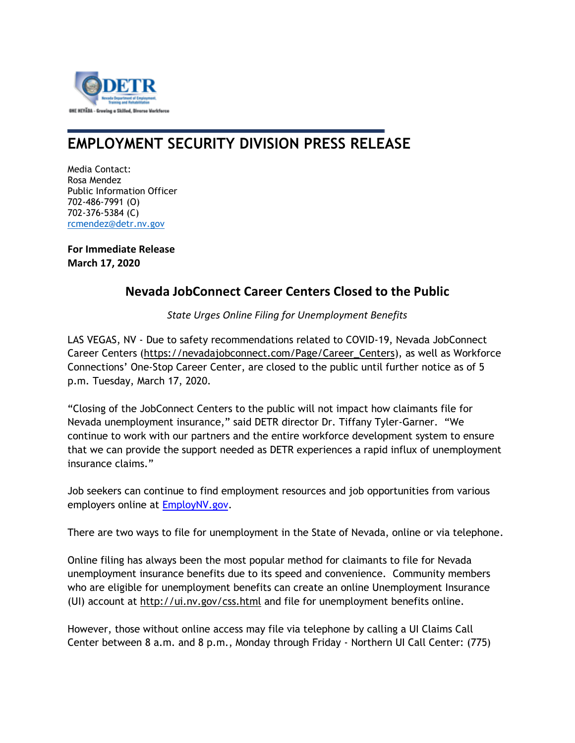

## **EMPLOYMENT SECURITY DIVISION PRESS RELEASE**

Media Contact: Rosa Mendez Public Information Officer 702-486-7991 (O) 702-376-5384 (C) [rcmendez@detr.nv.gov](mailto:rcmendez@detr.nv.gov)

**For Immediate Release March 17, 2020**

## **Nevada JobConnect Career Centers Closed to the Public**

*State Urges Online Filing for Unemployment Benefits*

LAS VEGAS, NV - Due to safety recommendations related to COVID-19, Nevada JobConnect Career Centers [\(https://nevadajobconnect.com/Page/Career\\_Centers\)](https://nevadajobconnect.com/Page/Career_Centers), as well as Workforce Connections' One-Stop Career Center, are closed to the public until further notice as of 5 p.m. Tuesday, March 17, 2020.

"Closing of the JobConnect Centers to the public will not impact how claimants file for Nevada unemployment insurance," said DETR director Dr. Tiffany Tyler-Garner. "We continue to work with our partners and the entire workforce development system to ensure that we can provide the support needed as DETR experiences a rapid influx of unemployment insurance claims."

Job seekers can continue to find employment resources and job opportunities from various employers online at **EmployNV.gov.** 

There are two ways to file for unemployment in the State of Nevada, online or via telephone.

Online filing has always been the most popular method for claimants to file for Nevada unemployment insurance benefits due to its speed and convenience. Community members who are eligible for unemployment benefits can create an online Unemployment Insurance (UI) account at<http://ui.nv.gov/css.html> and file for unemployment benefits online.

However, those without online access may file via telephone by calling a UI Claims Call Center between 8 a.m. and 8 p.m., Monday through Friday - Northern UI Call Center: (775)